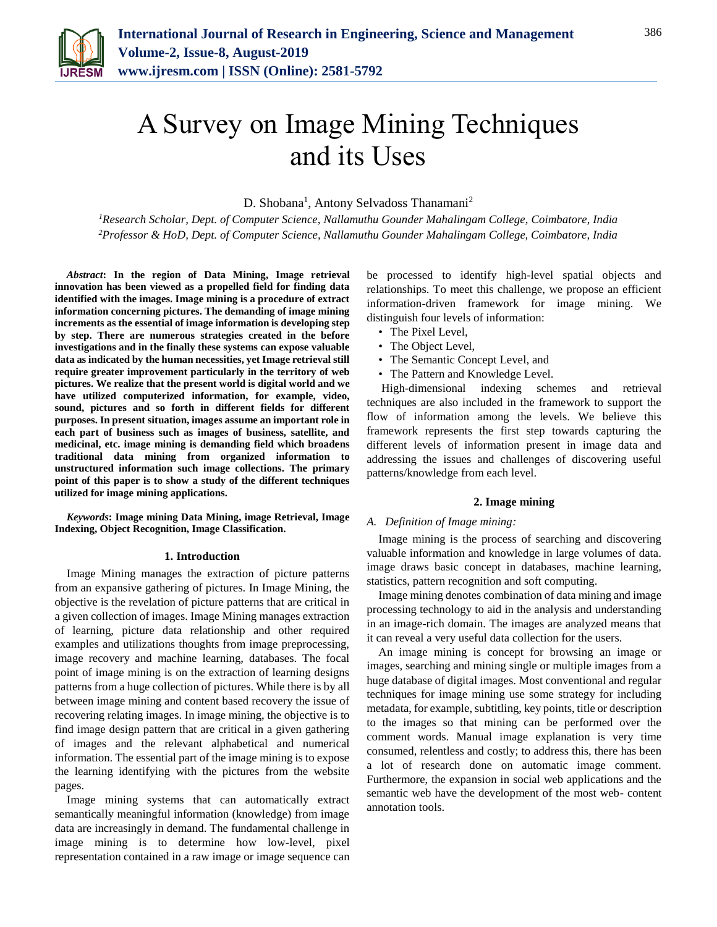

# A Survey on Image Mining Techniques and its Uses

D. Shobana<sup>1</sup>, Antony Selvadoss Thanamani<sup>2</sup>

*<sup>1</sup>Research Scholar, Dept. of Computer Science, Nallamuthu Gounder Mahalingam College, Coimbatore, India 2Professor & HoD, Dept. of Computer Science, Nallamuthu Gounder Mahalingam College, Coimbatore, India*

*Abstract***: In the region of Data Mining, Image retrieval innovation has been viewed as a propelled field for finding data identified with the images. Image mining is a procedure of extract information concerning pictures. The demanding of image mining increments as the essential of image information is developing step by step. There are numerous strategies created in the before investigations and in the finally these systems can expose valuable data as indicated by the human necessities, yet Image retrieval still require greater improvement particularly in the territory of web pictures. We realize that the present world is digital world and we have utilized computerized information, for example, video, sound, pictures and so forth in different fields for different purposes. In present situation, images assume an important role in each part of business such as images of business, satellite, and medicinal, etc. image mining is demanding field which broadens traditional data mining from organized information to unstructured information such image collections. The primary point of this paper is to show a study of the different techniques utilized for image mining applications.**

*Keywords***: Image mining Data Mining, image Retrieval, Image Indexing, Object Recognition, Image Classification.**

#### **1. Introduction**

Image Mining manages the extraction of picture patterns from an expansive gathering of pictures. In Image Mining, the objective is the revelation of picture patterns that are critical in a given collection of images. Image Mining manages extraction of learning, picture data relationship and other required examples and utilizations thoughts from image preprocessing, image recovery and machine learning, databases. The focal point of image mining is on the extraction of learning designs patterns from a huge collection of pictures. While there is by all between image mining and content based recovery the issue of recovering relating images. In image mining, the objective is to find image design pattern that are critical in a given gathering of images and the relevant alphabetical and numerical information. The essential part of the image mining is to expose the learning identifying with the pictures from the website pages.

Image mining systems that can automatically extract semantically meaningful information (knowledge) from image data are increasingly in demand. The fundamental challenge in image mining is to determine how low-level, pixel representation contained in a raw image or image sequence can

be processed to identify high-level spatial objects and relationships. To meet this challenge, we propose an efficient information-driven framework for image mining. We distinguish four levels of information:

- The Pixel Level,
- The Object Level,
- The Semantic Concept Level, and
- The Pattern and Knowledge Level.

High-dimensional indexing schemes and retrieval techniques are also included in the framework to support the flow of information among the levels. We believe this framework represents the first step towards capturing the different levels of information present in image data and addressing the issues and challenges of discovering useful patterns/knowledge from each level.

#### **2. Image mining**

#### *A. Definition of Image mining:*

Image mining is the process of searching and discovering valuable information and knowledge in large volumes of data. image draws basic concept in databases, machine learning, statistics, pattern recognition and soft computing.

Image mining denotes combination of data mining and image processing technology to aid in the analysis and understanding in an image-rich domain. The images are analyzed means that it can reveal a very useful data collection for the users.

An image mining is concept for browsing an image or images, searching and mining single or multiple images from a huge database of digital images. Most conventional and regular techniques for image mining use some strategy for including metadata, for example, subtitling, key points, title or description to the images so that mining can be performed over the comment words. Manual image explanation is very time consumed, relentless and costly; to address this, there has been a lot of research done on automatic image comment. Furthermore, the expansion in social web applications and the semantic web have the development of the most web- content annotation tools.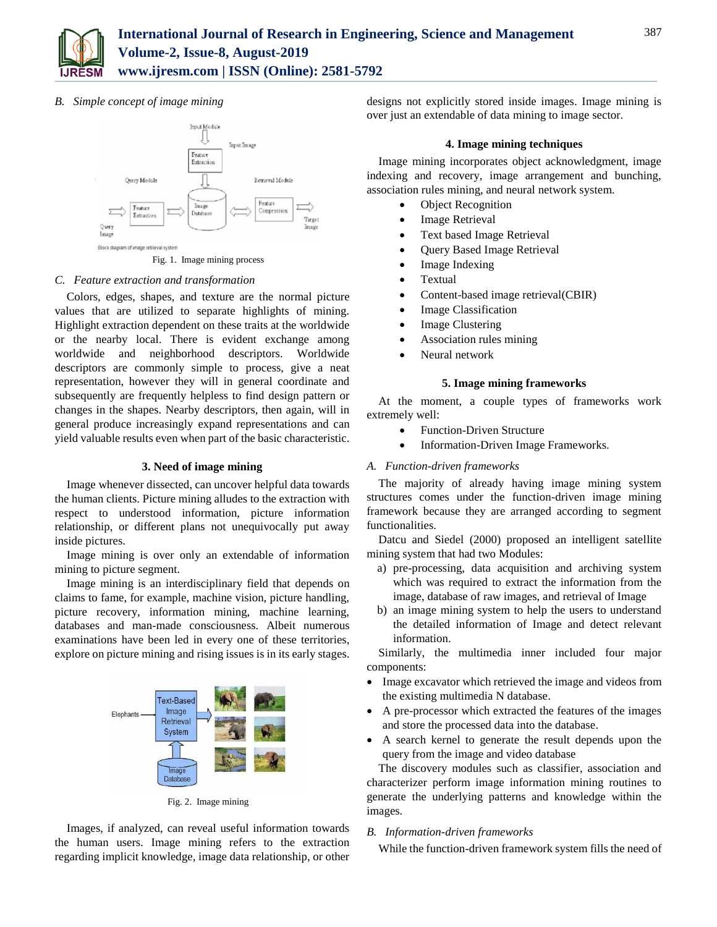

# *B. Simple concept of image mining*



Fig. 1. Image mining process

# *C. Feature extraction and transformation*

Colors, edges, shapes, and texture are the normal picture values that are utilized to separate highlights of mining. Highlight extraction dependent on these traits at the worldwide or the nearby local. There is evident exchange among worldwide and neighborhood descriptors. Worldwide descriptors are commonly simple to process, give a neat representation, however they will in general coordinate and subsequently are frequently helpless to find design pattern or changes in the shapes. Nearby descriptors, then again, will in general produce increasingly expand representations and can yield valuable results even when part of the basic characteristic.

## **3. Need of image mining**

Image whenever dissected, can uncover helpful data towards the human clients. Picture mining alludes to the extraction with respect to understood information, picture information relationship, or different plans not unequivocally put away inside pictures.

Image mining is over only an extendable of information mining to picture segment.

Image mining is an interdisciplinary field that depends on claims to fame, for example, machine vision, picture handling, picture recovery, information mining, machine learning, databases and man-made consciousness. Albeit numerous examinations have been led in every one of these territories, explore on picture mining and rising issues is in its early stages.



Fig. 2. Image mining

Images, if analyzed, can reveal useful information towards the human users. Image mining refers to the extraction regarding implicit knowledge, image data relationship, or other

designs not explicitly stored inside images. Image mining is over just an extendable of data mining to image sector.

## **4. Image mining techniques**

Image mining incorporates object acknowledgment, image indexing and recovery, image arrangement and bunching, association rules mining, and neural network system.

- Object Recognition
- Image Retrieval
- Text based Image Retrieval
- Query Based Image Retrieval
- Image Indexing
- Textual
- Content-based image retrieval (CBIR)
- Image Classification
- Image Clustering
- Association rules mining
- Neural network

### **5. Image mining frameworks**

At the moment, a couple types of frameworks work extremely well:

- Function-Driven Structure
- Information-Driven Image Frameworks.

## *A. Function-driven frameworks*

The majority of already having image mining system structures comes under the function-driven image mining framework because they are arranged according to segment functionalities.

Datcu and Siedel (2000) proposed an intelligent satellite mining system that had two Modules:

- a) pre-processing, data acquisition and archiving system which was required to extract the information from the image, database of raw images, and retrieval of Image
- b) an image mining system to help the users to understand the detailed information of Image and detect relevant information.

Similarly, the multimedia inner included four major components:

- Image excavator which retrieved the image and videos from the existing multimedia N database.
- A pre-processor which extracted the features of the images and store the processed data into the database.
- A search kernel to generate the result depends upon the query from the image and video database

The discovery modules such as classifier, association and characterizer perform image information mining routines to generate the underlying patterns and knowledge within the images.

### *B. Information-driven frameworks*

While the function-driven framework system fills the need of